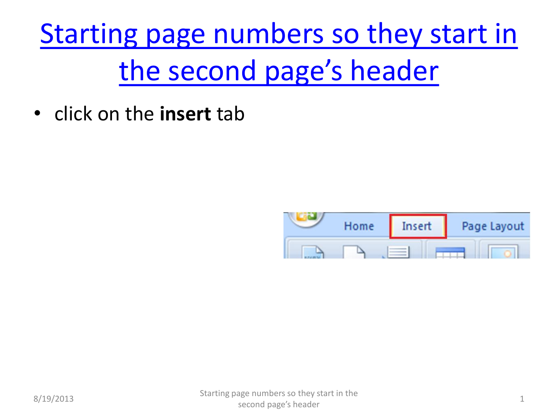[Starting page numbers so they start in](#page-3-0)  [the second page's header](#page-3-0)

• click on the **insert** tab

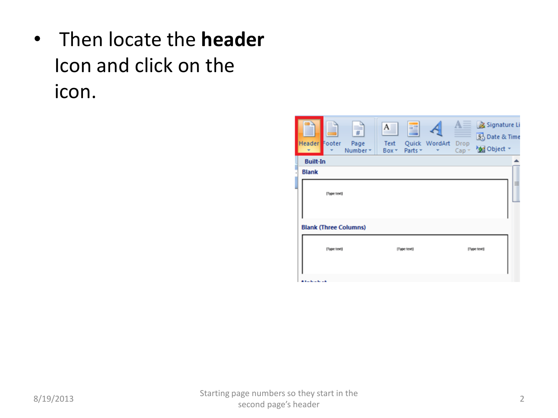• Then locate the **header** Icon and click on the icon.

| ▄<br>#<br>Header Footer<br>Page<br>Number *<br>$\overline{\phantom{a}}$ | A<br>≣<br>Quick WordArt<br>Text<br>Parts *<br>Box - | Signature Li<br>5. Date & Time<br>Drop<br><b>Med</b> Object ~<br>Cap <sub>x</sub> |
|-------------------------------------------------------------------------|-----------------------------------------------------|-----------------------------------------------------------------------------------|
| <b>Built-In</b>                                                         |                                                     |                                                                                   |
| <b>Blank</b>                                                            |                                                     |                                                                                   |
| [Type text]                                                             |                                                     | 田                                                                                 |
| <b>Blank (Three Columns)</b>                                            |                                                     |                                                                                   |
| [Type text]                                                             | [Type text]                                         | [Type text]                                                                       |
| $1 - 1 - 1 - 1$                                                         |                                                     |                                                                                   |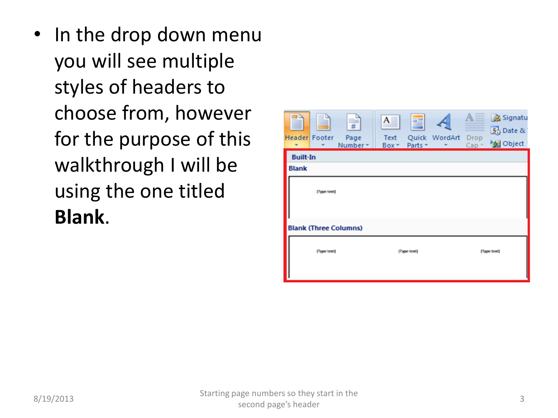• In the drop down menu you will see multiple styles of headers to choose from, however for the purpose of this walkthrough I will be using the one titled **Blank**.

| <b>Header</b> Footer |             | ▄<br>#<br>Page<br>Number *   | $A_{-}$<br><b>Text</b><br>Box * | Ŧ<br>Parts * | Quick WordArt Drop | Cap <sub>x</sub> | Signatu<br>5 Date &<br><b>Sel</b> Object |
|----------------------|-------------|------------------------------|---------------------------------|--------------|--------------------|------------------|------------------------------------------|
| <b>Built-In</b>      |             |                              |                                 |              |                    |                  |                                          |
| <b>Blank</b>         |             |                              |                                 |              |                    |                  |                                          |
|                      | [Type text] |                              |                                 |              |                    |                  |                                          |
|                      |             | <b>Blank (Three Columns)</b> |                                 |              |                    |                  |                                          |
|                      | [Type text] |                              |                                 | [Type text]  |                    |                  | [Type text]                              |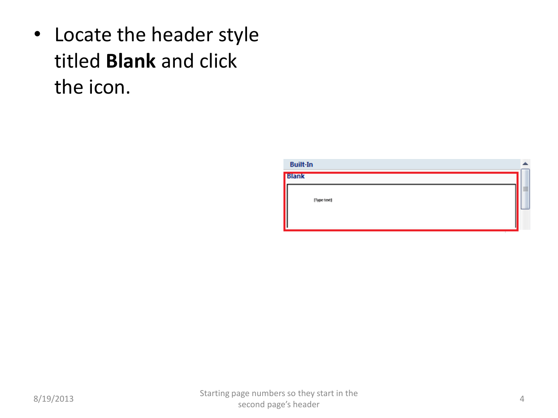• Locate the header style titled **Blank** and click the icon.

<span id="page-3-0"></span>

| <b>Built-In</b> |   |
|-----------------|---|
| <b>Blank</b>    |   |
| [Type text]     | ≣ |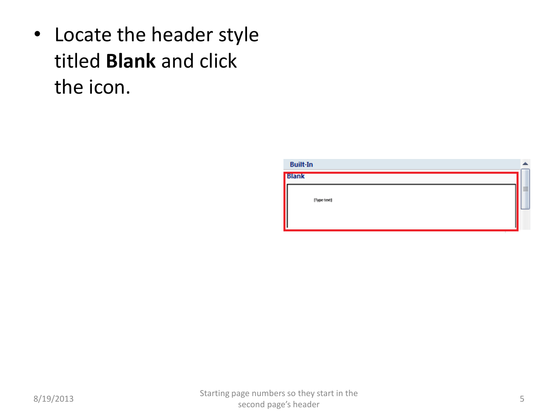• Locate the header style titled **Blank** and click the icon.

| <b>Built-In</b> |   |
|-----------------|---|
| <b>Blank</b>    |   |
| [Type text]     | ≣ |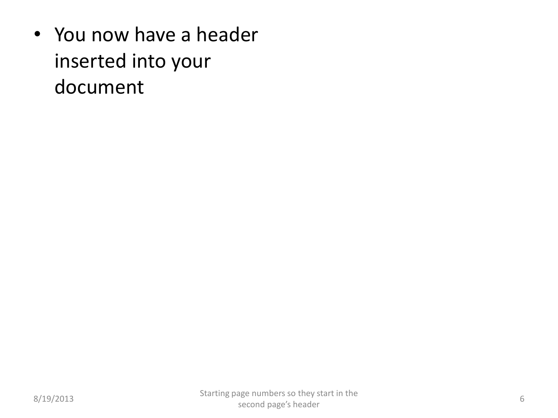• You now have a header inserted into your document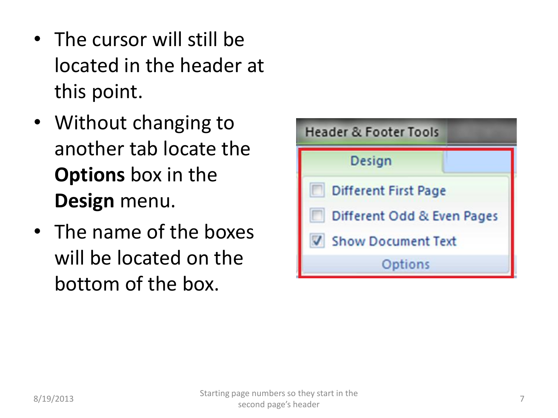- The cursor will still be located in the header at this point.
- Without changing to another tab locate the **Options** box in the **Design** menu.
- The name of the boxes will be located on the bottom of the box.

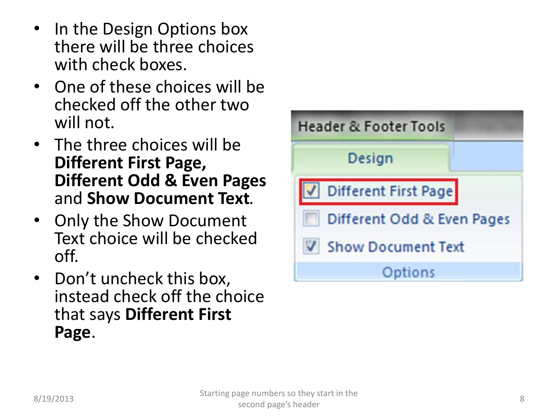- In the Design Options box there will be three choices with check boxes.
- One of these choices will be checked off the other two will not.
- The three choices will be **Different First Page, Different Odd & Even Pages** and **Show Document Text***.*
- Only the Show Document Text choice will be checked off.
- Don't uncheck this box, instead check off the choice that says **Different First Page**.

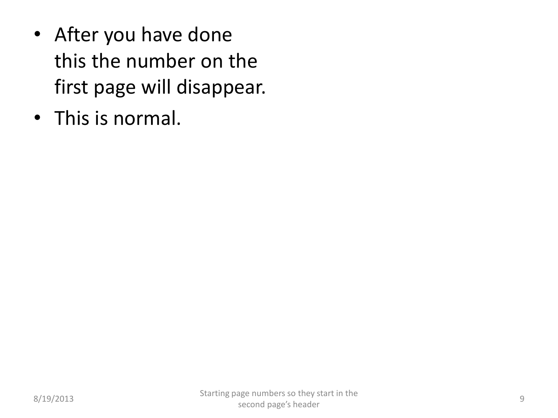- After you have done this the number on the first page will disappear.
- This is normal.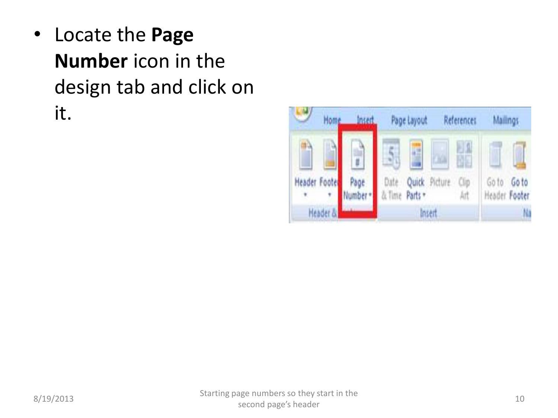• Locate the **Page Number** icon in the design tab and click on it.

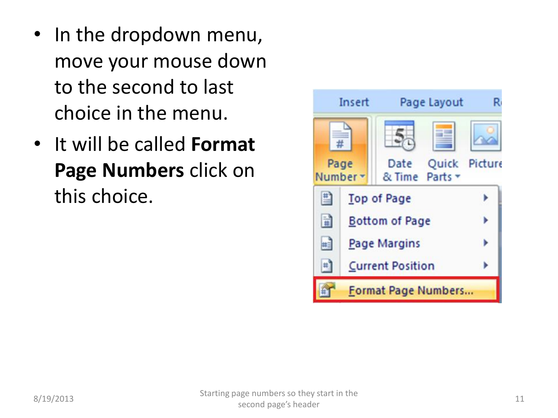- In the dropdown menu, move your mouse down to the second to last choice in the menu.
- It will be called **Format Page Numbers** click on this choice.

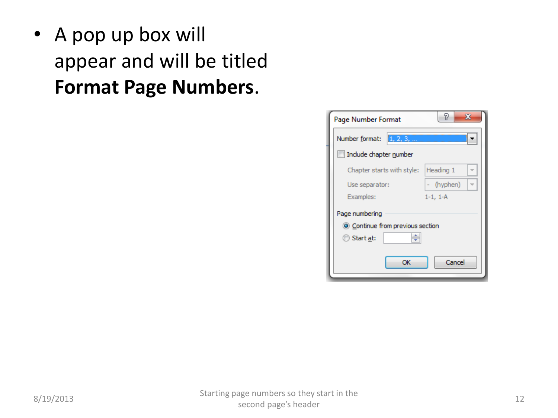• A pop up box will appear and will be titled **Format Page Numbers**.

| Page Number Format                                | P<br>х     |
|---------------------------------------------------|------------|
| $\left[1, 2, 3, \ldots \right]$<br>Number format: |            |
| Include chapter number                            |            |
| Chapter starts with style:                        | Heading 1  |
| Use separator:                                    | - (hyphen) |
| Examples:                                         | $1-1, 1-A$ |
| Page numbering                                    |            |
| © Continue from previous section                  |            |
| ÷<br>◎ Start <u>a</u> t:                          |            |
|                                                   |            |
| ОК                                                | Cancel     |
|                                                   |            |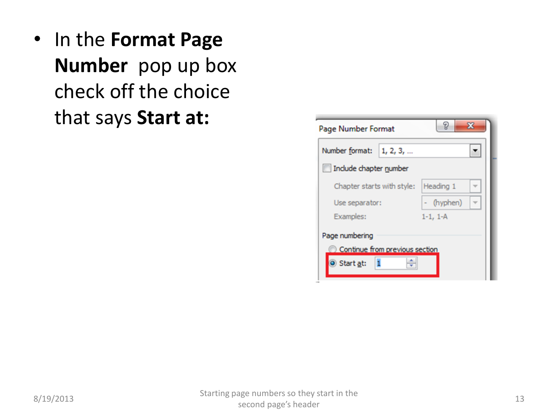• In the **Format Page Number** pop up box check off the choice that says **Start at:**

| Page Number Format             | ж          |
|--------------------------------|------------|
| Number format: 1, 2, 3,        |            |
| Include chapter number         |            |
| Chapter starts with style:     | Heading 1  |
| Use separator:                 | - (hyphen) |
| Examples:                      | $1-1, 1-A$ |
| Page numbering                 |            |
| Continue from previous section |            |
| Start at:                      |            |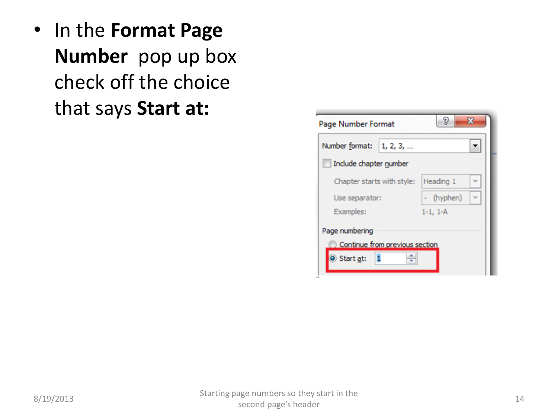• In the **Format Page Number** pop up box check off the choice that says **Start at:**

| Page Number Format             | ж          |
|--------------------------------|------------|
| Number format: 1, 2, 3,        |            |
| Include chapter number         |            |
| Chapter starts with style:     | Heading 1  |
| Use separator:                 | - (hyphen) |
| Examples:                      | $1-1, 1-A$ |
| Page numbering                 |            |
| Continue from previous section |            |
| Start at:                      |            |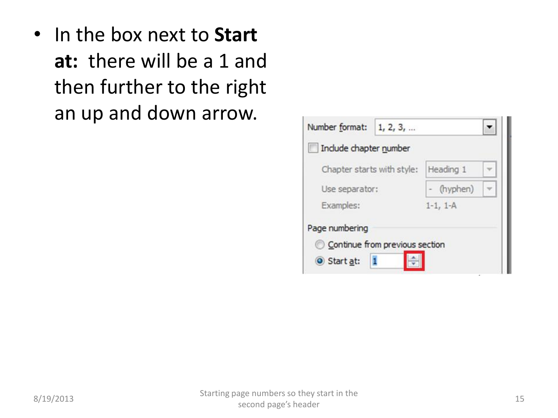• In the box next to **Start at:** there will be a 1 and then further to the right an up and down arrow.

| Number format:                 | 1, 2, 3, |            |  |  |
|--------------------------------|----------|------------|--|--|
| Include chapter number         |          |            |  |  |
| Chapter starts with style:     |          | Heading 1  |  |  |
| Use separator:                 |          | - (hyphen) |  |  |
| Examples:                      |          | $1-1, 1-A$ |  |  |
| Page numbering                 |          |            |  |  |
| Continue from previous section |          |            |  |  |
| Start at:                      |          |            |  |  |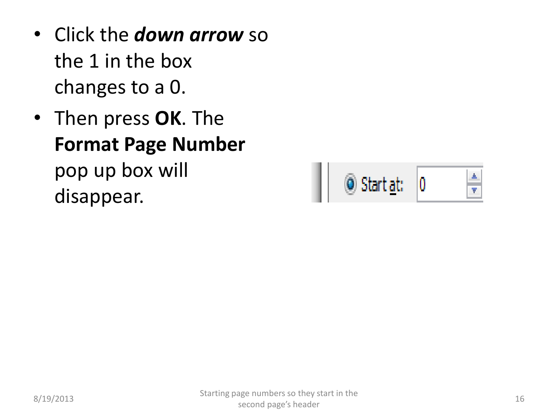- Click the *down arrow* so the 1 in the box changes to a 0.
- Then press **OK**. The **Format Page Number** pop up box will disappear.

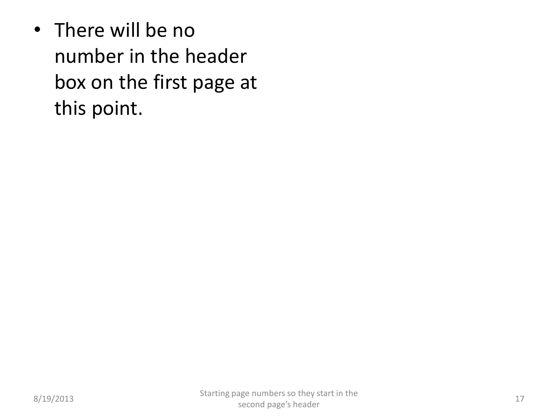• There will be no number in the header box on the first page at this point.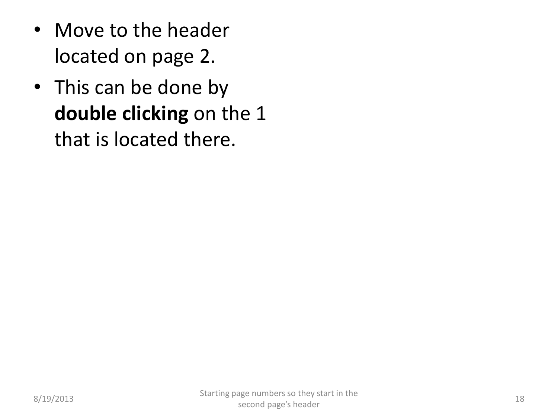- Move to the header located on page 2.
- This can be done by **double clicking** on the 1 that is located there.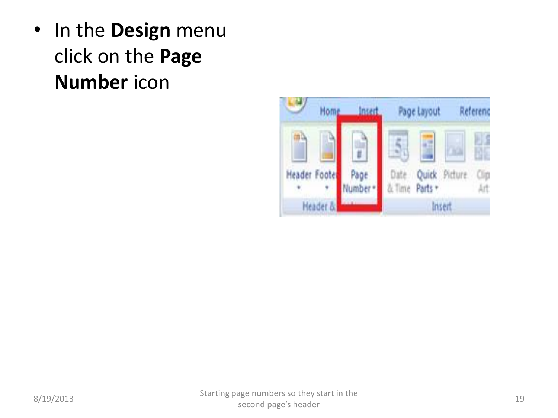• In the **Design** menu click on the **Page Number** icon

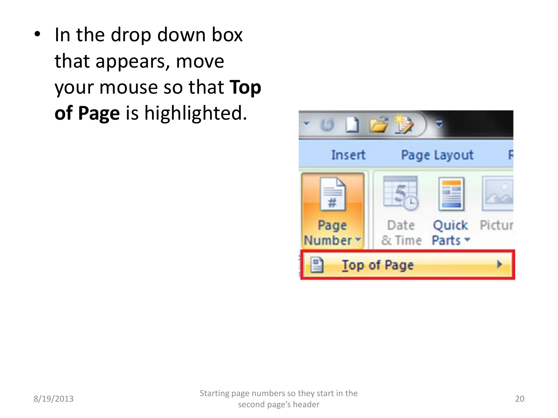• In the drop down box that appears, move your mouse so that **Top of Page** is highlighted.

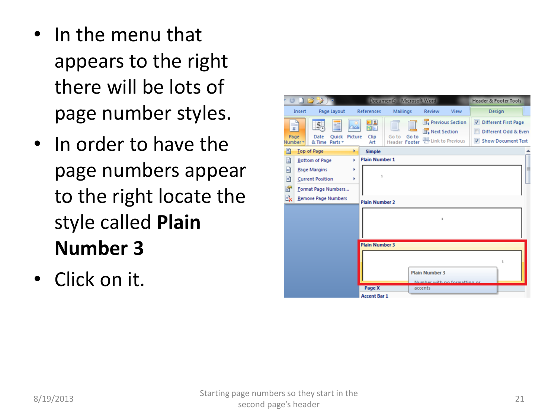- In the menu that appears to the right there will be lots of page number styles.
- In order to have the page numbers appear to the right locate the style called **Plain Number 3**
- Click on it.

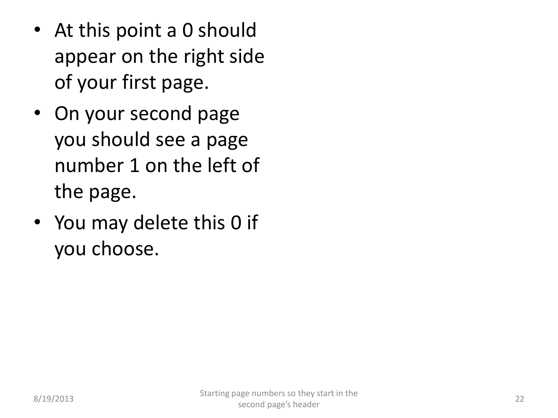- At this point a 0 should appear on the right side of your first page.
- On your second page you should see a page number 1 on the left of the page.
- You may delete this 0 if you choose.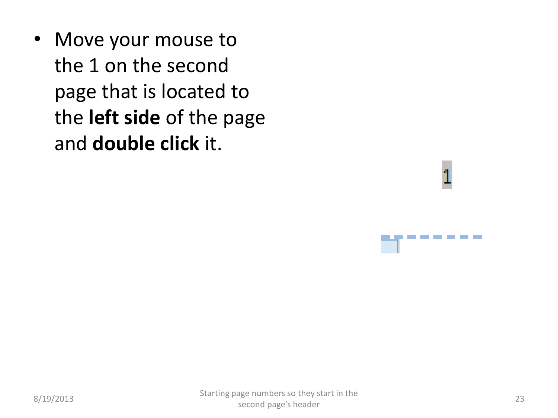• Move your mouse to the 1 on the second page that is located to the **left side** of the page and **double click** it.

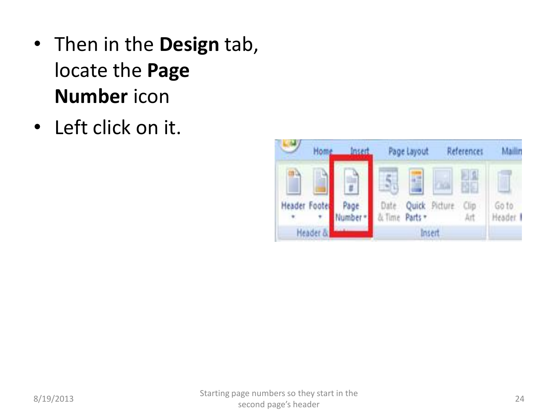- Then in the **Design** tab, locate the **Page Number** icon
- Left click on it.

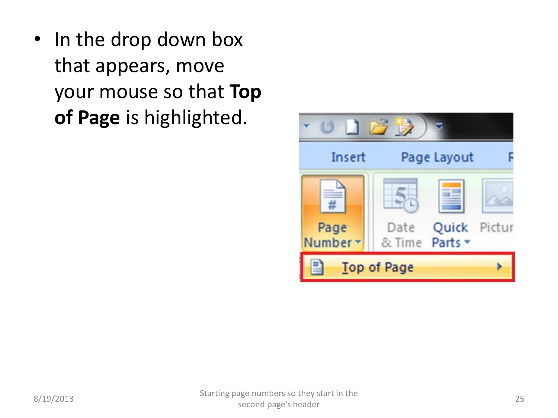• In the drop down box that appears, move your mouse so that **Top of Page** is highlighted.

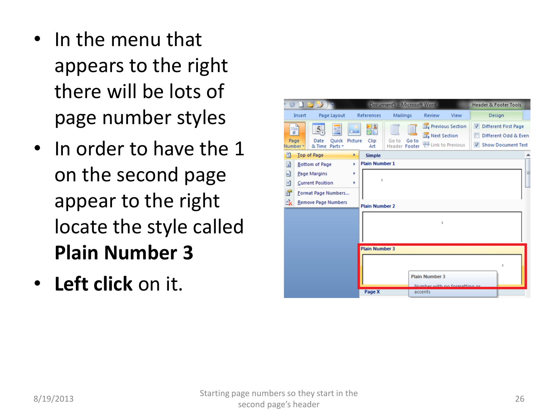- In the menu that appears to the right there will be lots of page number styles
- In order to have the 1 on the second page appear to the right locate the style called **Plain Number 3**
- **Left click** on it.

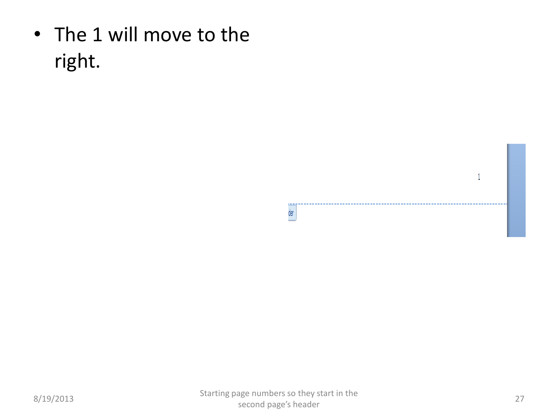• The 1 will move to the right.

**LEADS** 

 $\mathbf{1}$ 

............................